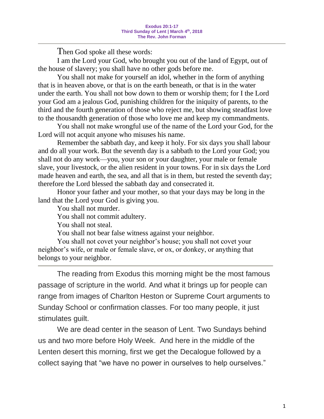Then God spoke all these words:

I am the Lord your God, who brought you out of the land of Egypt, out of the house of slavery; you shall have no other gods before me.

You shall not make for yourself an idol, whether in the form of anything that is in heaven above, or that is on the earth beneath, or that is in the water under the earth. You shall not bow down to them or worship them; for I the Lord your God am a jealous God, punishing children for the iniquity of parents, to the third and the fourth generation of those who reject me, but showing steadfast love to the thousandth generation of those who love me and keep my commandments.

You shall not make wrongful use of the name of the Lord your God, for the Lord will not acquit anyone who misuses his name.

Remember the sabbath day, and keep it holy. For six days you shall labour and do all your work. But the seventh day is a sabbath to the Lord your God; you shall not do any work—you, your son or your daughter, your male or female slave, your livestock, or the alien resident in your towns. For in six days the Lord made heaven and earth, the sea, and all that is in them, but rested the seventh day; therefore the Lord blessed the sabbath day and consecrated it.

Honor your father and your mother, so that your days may be long in the land that the Lord your God is giving you.

You shall not murder.

You shall not commit adultery.

You shall not steal.

You shall not bear false witness against your neighbor.

You shall not covet your neighbor's house; you shall not covet your neighbor's wife, or male or female slave, or ox, or donkey, or anything that belongs to your neighbor.

The reading from Exodus this morning might be the most famous passage of scripture in the world. And what it brings up for people can range from images of Charlton Heston or Supreme Court arguments to Sunday School or confirmation classes. For too many people, it just stimulates guilt.

We are dead center in the season of Lent. Two Sundays behind us and two more before Holy Week. And here in the middle of the Lenten desert this morning, first we get the Decalogue followed by a collect saying that "we have no power in ourselves to help ourselves."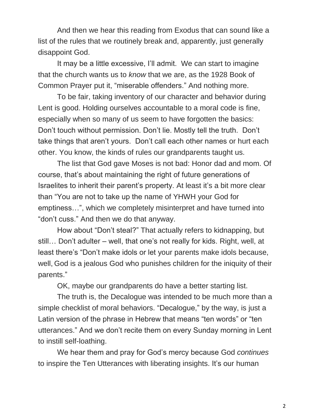And then we hear this reading from Exodus that can sound like a list of the rules that we routinely break and, apparently, just generally disappoint God.

It may be a little excessive, I'll admit. We can start to imagine that the church wants us to *know* that we are, as the 1928 Book of Common Prayer put it, "miserable offenders." And nothing more.

To be fair, taking inventory of our character and behavior during Lent is good. Holding ourselves accountable to a moral code is fine, especially when so many of us seem to have forgotten the basics: Don't touch without permission. Don't lie. Mostly tell the truth. Don't take things that aren't yours. Don't call each other names or hurt each other. You know, the kinds of rules our grandparents taught us.

The list that God gave Moses is not bad: Honor dad and mom. Of course, that's about maintaining the right of future generations of Israelites to inherit their parent's property. At least it's a bit more clear than "You are not to take up the name of YHWH your God for emptiness…", which we completely misinterpret and have turned into "don't cuss." And then we do that anyway.

How about "Don't steal?" That actually refers to kidnapping, but still… Don't adulter – well, that one's not really for kids. Right, well, at least there's "Don't make idols or let your parents make idols because, well, God is a jealous God who punishes children for the iniquity of their parents."

OK, maybe our grandparents do have a better starting list.

The truth is, the Decalogue was intended to be much more than a simple checklist of moral behaviors. "Decalogue," by the way, is just a Latin version of the phrase in Hebrew that means "ten words" or "ten utterances." And we don't recite them on every Sunday morning in Lent to instill self-loathing.

We hear them and pray for God's mercy because God *continues*  to inspire the Ten Utterances with liberating insights. It's our human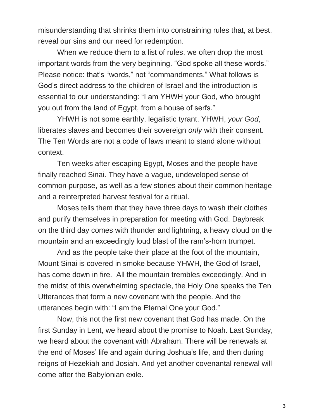misunderstanding that shrinks them into constraining rules that, at best, reveal our sins and our need for redemption.

When we reduce them to a list of rules, we often drop the most important words from the very beginning. "God spoke all these words." Please notice: that's "words," not "commandments." What follows is God's direct address to the children of Israel and the introduction is essential to our understanding: "I am YHWH your God, who brought you out from the land of Egypt, from a house of serfs."

YHWH is not some earthly, legalistic tyrant. YHWH, *your God*, liberates slaves and becomes their sovereign *only* with their consent. The Ten Words are not a code of laws meant to stand alone without context.

Ten weeks after escaping Egypt, Moses and the people have finally reached Sinai. They have a vague, undeveloped sense of common purpose, as well as a few stories about their common heritage and a reinterpreted harvest festival for a ritual.

Moses tells them that they have three days to wash their clothes and purify themselves in preparation for meeting with God. Daybreak on the third day comes with thunder and lightning, a heavy cloud on the mountain and an exceedingly loud blast of the ram's-horn trumpet.

And as the people take their place at the foot of the mountain, Mount Sinai is covered in smoke because YHWH, the God of Israel, has come down in fire. All the mountain trembles exceedingly. And in the midst of this overwhelming spectacle, the Holy One speaks the Ten Utterances that form a new covenant with the people. And the utterances begin with: "I am the Eternal One your God."

Now, this not the first new covenant that God has made. On the first Sunday in Lent, we heard about the promise to Noah. Last Sunday, we heard about the covenant with Abraham. There will be renewals at the end of Moses' life and again during Joshua's life, and then during reigns of Hezekiah and Josiah. And yet another covenantal renewal will come after the Babylonian exile.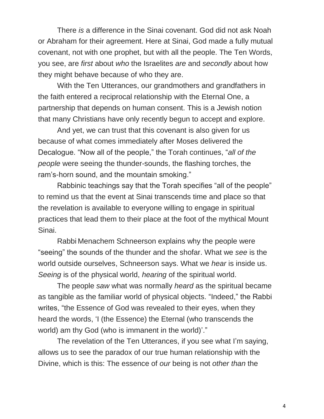There *is* a difference in the Sinai covenant. God did not ask Noah or Abraham for their agreement. Here at Sinai, God made a fully mutual covenant, not with one prophet, but with all the people. The Ten Words, you see, are *first* about *who* the Israelites *are* and *secondly* about how they might behave because of who they are.

With the Ten Utterances, our grandmothers and grandfathers in the faith entered a reciprocal relationship with the Eternal One, a partnership that depends on human consent. This is a Jewish notion that many Christians have only recently begun to accept and explore.

And yet, we can trust that this covenant is also given for us because of what comes immediately after Moses delivered the Decalogue. "Now all of the people," the Torah continues, "*all of the people* were seeing the thunder-sounds, the flashing torches, the ram's-horn sound, and the mountain smoking."

Rabbinic teachings say that the Torah specifies "all of the people" to remind us that the event at Sinai transcends time and place so that the revelation is available to everyone willing to engage in spiritual practices that lead them to their place at the foot of the mythical Mount Sinai.

Rabbi Menachem Schneerson explains why the people were "seeing" the sounds of the thunder and the shofar. What we *see* is the world outside ourselves, Schneerson says. What we *hear* is inside us. *Seeing* is of the physical world, *hearing* of the spiritual world.

The people *saw* what was normally *heard* as the spiritual became as tangible as the familiar world of physical objects. "Indeed," the Rabbi writes, "the Essence of God was revealed to their eyes, when they heard the words, 'I (the Essence) the Eternal (who transcends the world) am thy God (who is immanent in the world)'."

The revelation of the Ten Utterances, if you see what I'm saying, allows us to see the paradox of our true human relationship with the Divine, which is this: The essence of *our* being is not *other than* the